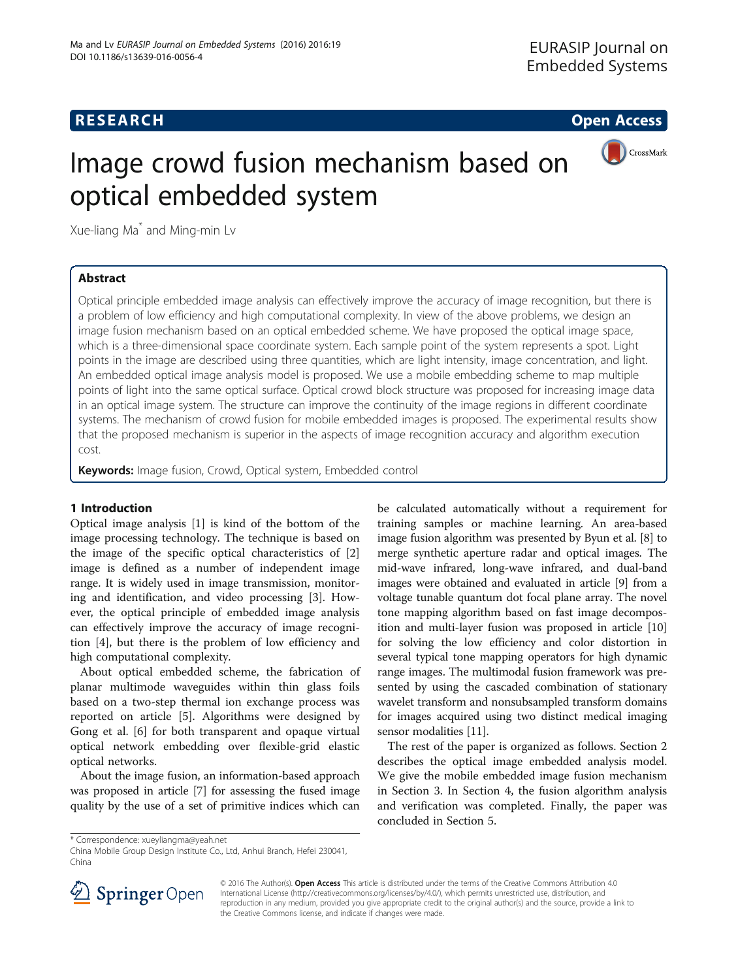## **RESEARCH CHEAR CHEAR CHEAR CHEAR CHEAR CHEAR CHEAR CHEAR CHEAR CHEAR CHEAR CHEAR CHEAR CHEAR CHEAR CHEAR CHEAR**



# Image crowd fusion mechanism based on optical embedded system

Xue-liang Ma\* and Ming-min Lv

## Abstract

Optical principle embedded image analysis can effectively improve the accuracy of image recognition, but there is a problem of low efficiency and high computational complexity. In view of the above problems, we design an image fusion mechanism based on an optical embedded scheme. We have proposed the optical image space, which is a three-dimensional space coordinate system. Each sample point of the system represents a spot. Light points in the image are described using three quantities, which are light intensity, image concentration, and light. An embedded optical image analysis model is proposed. We use a mobile embedding scheme to map multiple points of light into the same optical surface. Optical crowd block structure was proposed for increasing image data in an optical image system. The structure can improve the continuity of the image regions in different coordinate systems. The mechanism of crowd fusion for mobile embedded images is proposed. The experimental results show that the proposed mechanism is superior in the aspects of image recognition accuracy and algorithm execution cost.

Keywords: Image fusion, Crowd, Optical system, Embedded control

## 1 Introduction

Optical image analysis [[1\]](#page-5-0) is kind of the bottom of the image processing technology. The technique is based on the image of the specific optical characteristics of [\[2](#page-5-0)] image is defined as a number of independent image range. It is widely used in image transmission, monitoring and identification, and video processing [\[3](#page-5-0)]. However, the optical principle of embedded image analysis can effectively improve the accuracy of image recognition [\[4](#page-5-0)], but there is the problem of low efficiency and high computational complexity.

About optical embedded scheme, the fabrication of planar multimode waveguides within thin glass foils based on a two-step thermal ion exchange process was reported on article [\[5](#page-5-0)]. Algorithms were designed by Gong et al. [[6\]](#page-5-0) for both transparent and opaque virtual optical network embedding over flexible-grid elastic optical networks.

About the image fusion, an information-based approach was proposed in article [\[7\]](#page-5-0) for assessing the fused image quality by the use of a set of primitive indices which can

be calculated automatically without a requirement for training samples or machine learning. An area-based image fusion algorithm was presented by Byun et al. [[8\]](#page-5-0) to merge synthetic aperture radar and optical images. The mid-wave infrared, long-wave infrared, and dual-band images were obtained and evaluated in article [\[9](#page-5-0)] from a voltage tunable quantum dot focal plane array. The novel tone mapping algorithm based on fast image decomposition and multi-layer fusion was proposed in article [[10](#page-5-0)] for solving the low efficiency and color distortion in several typical tone mapping operators for high dynamic range images. The multimodal fusion framework was presented by using the cascaded combination of stationary wavelet transform and nonsubsampled transform domains for images acquired using two distinct medical imaging sensor modalities [[11](#page-5-0)].

The rest of the paper is organized as follows. Section 2 describes the optical image embedded analysis model. We give the mobile embedded image fusion mechanism in Section 3. In Section 4, the fusion algorithm analysis and verification was completed. Finally, the paper was concluded in Section 5.

China Mobile Group Design Institute Co., Ltd, Anhui Branch, Hefei 230041, China



© 2016 The Author(s). Open Access This article is distributed under the terms of the Creative Commons Attribution 4.0 International License ([http://creativecommons.org/licenses/by/4.0/\)](http://creativecommons.org/licenses/by/4.0/), which permits unrestricted use, distribution, and reproduction in any medium, provided you give appropriate credit to the original author(s) and the source, provide a link to the Creative Commons license, and indicate if changes were made.

<sup>\*</sup> Correspondence: [xueyliangma@yeah.net](mailto:xueyliangma@yeah.net)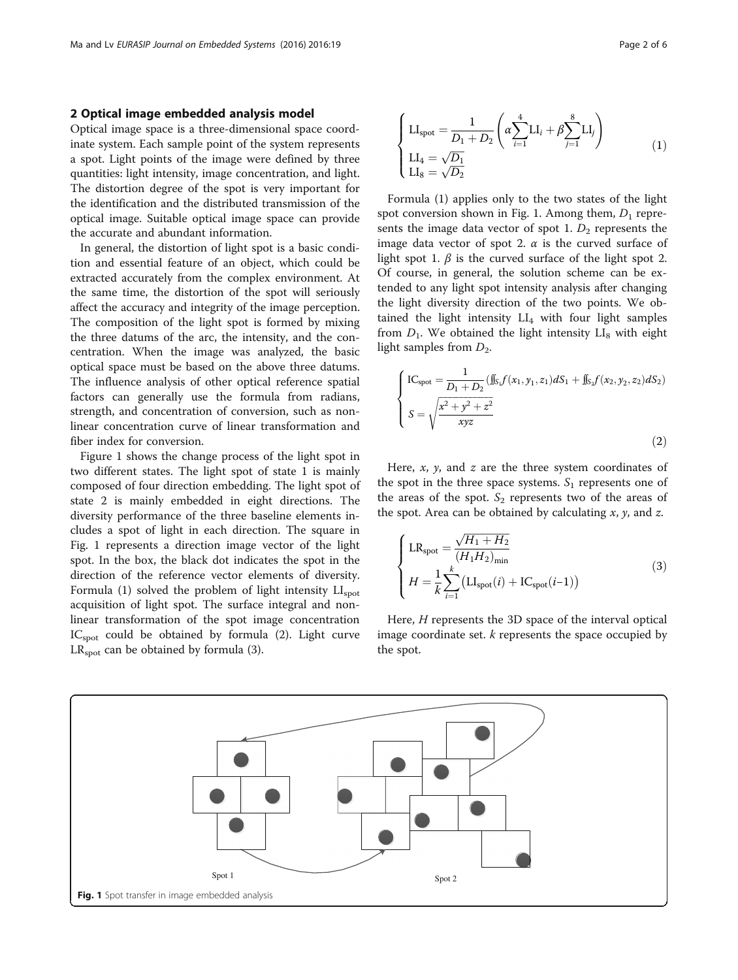### 2 Optical image embedded analysis model

Optical image space is a three-dimensional space coordinate system. Each sample point of the system represents a spot. Light points of the image were defined by three quantities: light intensity, image concentration, and light. The distortion degree of the spot is very important for the identification and the distributed transmission of the optical image. Suitable optical image space can provide the accurate and abundant information.

In general, the distortion of light spot is a basic condition and essential feature of an object, which could be extracted accurately from the complex environment. At the same time, the distortion of the spot will seriously affect the accuracy and integrity of the image perception. The composition of the light spot is formed by mixing the three datums of the arc, the intensity, and the concentration. When the image was analyzed, the basic optical space must be based on the above three datums. The influence analysis of other optical reference spatial factors can generally use the formula from radians, strength, and concentration of conversion, such as nonlinear concentration curve of linear transformation and fiber index for conversion.

Figure 1 shows the change process of the light spot in two different states. The light spot of state 1 is mainly composed of four direction embedding. The light spot of state 2 is mainly embedded in eight directions. The diversity performance of the three baseline elements includes a spot of light in each direction. The square in Fig. 1 represents a direction image vector of the light spot. In the box, the black dot indicates the spot in the direction of the reference vector elements of diversity. Formula (1) solved the problem of light intensity  $LI<sub>spot</sub>$ acquisition of light spot. The surface integral and nonlinear transformation of the spot image concentration IC<sub>spot</sub> could be obtained by formula (2). Light curve  $LR<sub>spot</sub>$  can be obtained by formula (3).

$$
\begin{cases}\n\text{LI}_{\text{spot}} = \frac{1}{D_1 + D_2} \left( \alpha \sum_{i=1}^4 \text{LI}_i + \beta \sum_{j=1}^8 \text{LI}_j \right) \\
\text{LI}_4 = \sqrt{D_1} \\
\text{LI}_8 = \sqrt{D_2}\n\end{cases} (1)
$$

Formula (1) applies only to the two states of the light spot conversion shown in Fig. 1. Among them,  $D_1$  represents the image data vector of spot 1.  $D_2$  represents the image data vector of spot 2.  $\alpha$  is the curved surface of light spot 1.  $\beta$  is the curved surface of the light spot 2. Of course, in general, the solution scheme can be extended to any light spot intensity analysis after changing the light diversity direction of the two points. We obtained the light intensity  $LI_4$  with four light samples from  $D_1$ . We obtained the light intensity  $LI_8$  with eight light samples from  $D_2$ .

$$
\begin{cases}\n\text{IC}_{\text{spot}} = \frac{1}{D_1 + D_2} (\iint_{S_1} f(x_1, y_1, z_1) dS_1 + \iint_{S_2} f(x_2, y_2, z_2) dS_2) \\
S = \sqrt{\frac{x^2 + y^2 + z^2}{xyz}}\n\end{cases}
$$
\n(2)

Here,  $x$ ,  $y$ , and  $z$  are the three system coordinates of the spot in the three space systems.  $S_1$  represents one of the areas of the spot.  $S_2$  represents two of the areas of the spot. Area can be obtained by calculating  $x$ ,  $y$ , and  $z$ .

$$
\begin{cases}\n\text{LR}_{\text{spot}} = \frac{\sqrt{H_1 + H_2}}{(H_1 H_2)_{\text{min}}} \\
H = \frac{1}{k} \sum_{i=1}^{k} (\text{LI}_{\text{spot}}(i) + \text{IC}_{\text{spot}}(i-1))\n\end{cases} (3)
$$

Here, H represents the 3D space of the interval optical image coordinate set.  $k$  represents the space occupied by the spot.

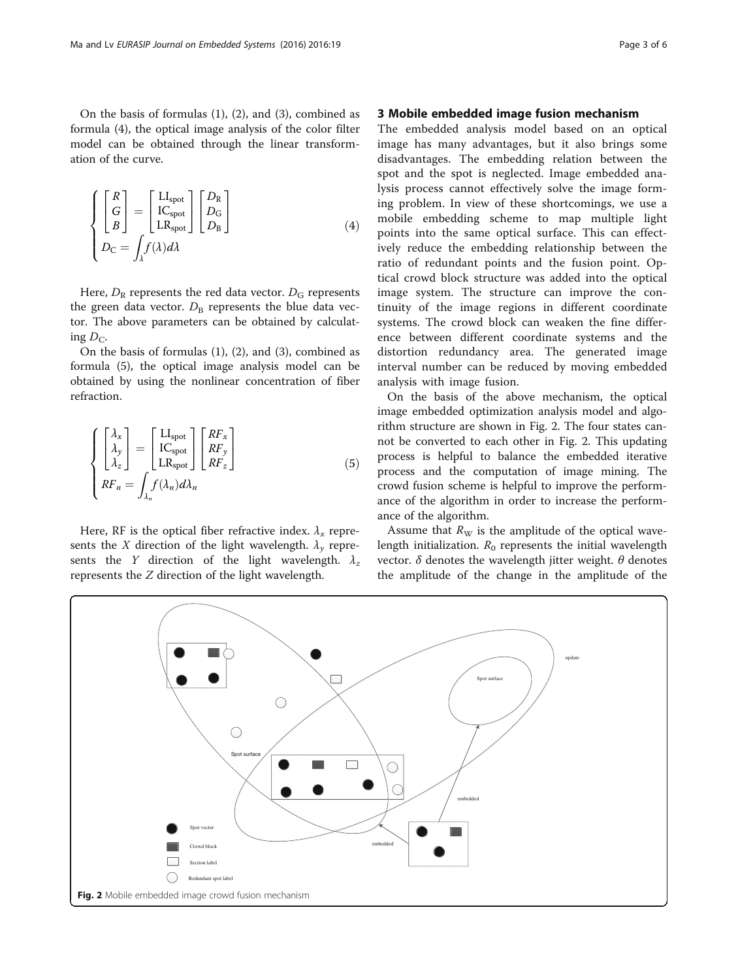On the basis of formulas (1), (2), and (3), combined as formula (4), the optical image analysis of the color filter model can be obtained through the linear transformation of the curve.

$$
\left\{\begin{bmatrix} R \\ G \\ B \end{bmatrix} = \begin{bmatrix} Ll_{spot} \\ IC_{spot} \\ LR_{spot} \end{bmatrix} \begin{bmatrix} D_R \\ D_G \\ D_B \end{bmatrix} \right\}
$$
\n
$$
D_C = \int_{\lambda} f(\lambda) d\lambda
$$
\n(4)

Here,  $D_R$  represents the red data vector.  $D_G$  represents the green data vector.  $D_B$  represents the blue data vector. The above parameters can be obtained by calculating  $D_{\rm C}$ .

On the basis of formulas (1), (2), and (3), combined as formula (5), the optical image analysis model can be obtained by using the nonlinear concentration of fiber refraction.

$$
\begin{cases}\n\begin{bmatrix}\n\lambda_x \\
\lambda_y \\
\lambda_z\n\end{bmatrix} = \begin{bmatrix}\n\text{LI}_{\text{spot}} \\
\text{IC}_{\text{spot}} \\
\text{LR}_{\text{spot}}\n\end{bmatrix} \begin{bmatrix}\nRF_x \\
RF_y \\
RF_z\n\end{bmatrix} \\
RF_n = \int_{\lambda_n} f(\lambda_n) d\lambda_n\n\end{cases}
$$
\n(5)

Here, RF is the optical fiber refractive index.  $\lambda_x$  represents the X direction of the light wavelength.  $\lambda_{\nu}$  represents the Y direction of the light wavelength.  $\lambda_z$ represents the Z direction of the light wavelength.

### 3 Mobile embedded image fusion mechanism

The embedded analysis model based on an optical image has many advantages, but it also brings some disadvantages. The embedding relation between the spot and the spot is neglected. Image embedded analysis process cannot effectively solve the image forming problem. In view of these shortcomings, we use a mobile embedding scheme to map multiple light points into the same optical surface. This can effectively reduce the embedding relationship between the ratio of redundant points and the fusion point. Optical crowd block structure was added into the optical image system. The structure can improve the continuity of the image regions in different coordinate systems. The crowd block can weaken the fine difference between different coordinate systems and the distortion redundancy area. The generated image interval number can be reduced by moving embedded analysis with image fusion.

On the basis of the above mechanism, the optical image embedded optimization analysis model and algorithm structure are shown in Fig. 2. The four states cannot be converted to each other in Fig. 2. This updating process is helpful to balance the embedded iterative process and the computation of image mining. The crowd fusion scheme is helpful to improve the performance of the algorithm in order to increase the performance of the algorithm.

Assume that  $R_W$  is the amplitude of the optical wavelength initialization.  $R_0$  represents the initial wavelength vector.  $\delta$  denotes the wavelength jitter weight.  $\theta$  denotes the amplitude of the change in the amplitude of the

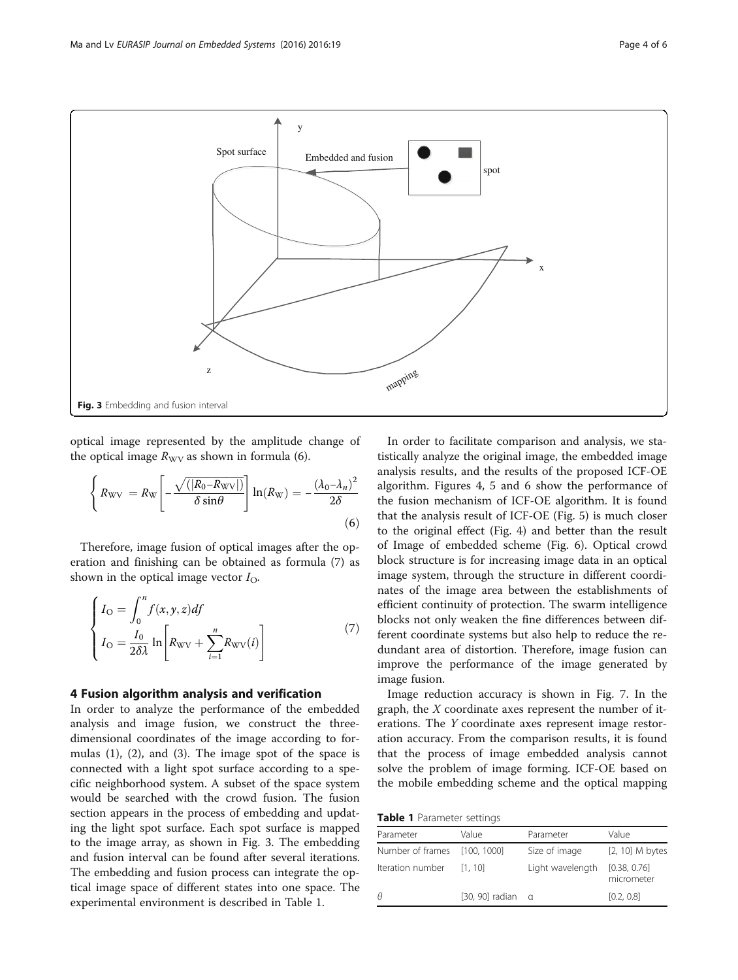

optical image represented by the amplitude change of the optical image  $R_{\rm WV}$  as shown in formula (6).

$$
\left\{ R_{\rm WV} = R_{\rm W} \left[ -\frac{\sqrt{(|R_{0} - R_{\rm WV}|)}}{\delta \sin \theta} \right] \ln(R_{\rm W}) = -\frac{(\lambda_{0} - \lambda_{n})^{2}}{2\delta} \tag{6}
$$

Therefore, image fusion of optical images after the operation and finishing can be obtained as formula (7) as shown in the optical image vector  $I_{\text{O}}$ .

$$
\begin{cases}\nI_{\text{O}} = \int_{0}^{n} f(x, y, z) df \\
I_{\text{O}} = \frac{I_{0}}{2 \delta \lambda} \ln \left[ R_{\text{WV}} + \sum_{i=1}^{n} R_{\text{WV}}(i) \right]\n\end{cases} (7)
$$

#### 4 Fusion algorithm analysis and verification

In order to analyze the performance of the embedded analysis and image fusion, we construct the threedimensional coordinates of the image according to formulas (1), (2), and (3). The image spot of the space is connected with a light spot surface according to a specific neighborhood system. A subset of the space system would be searched with the crowd fusion. The fusion section appears in the process of embedding and updating the light spot surface. Each spot surface is mapped to the image array, as shown in Fig. 3. The embedding and fusion interval can be found after several iterations. The embedding and fusion process can integrate the optical image space of different states into one space. The experimental environment is described in Table 1.

In order to facilitate comparison and analysis, we statistically analyze the original image, the embedded image analysis results, and the results of the proposed ICF-OE algorithm. Figures [4](#page-4-0), [5](#page-4-0) and [6](#page-4-0) show the performance of the fusion mechanism of ICF-OE algorithm. It is found that the analysis result of ICF-OE (Fig. [5](#page-4-0)) is much closer to the original effect (Fig. [4\)](#page-4-0) and better than the result of Image of embedded scheme (Fig. [6\)](#page-4-0). Optical crowd block structure is for increasing image data in an optical image system, through the structure in different coordinates of the image area between the establishments of efficient continuity of protection. The swarm intelligence blocks not only weaken the fine differences between different coordinate systems but also help to reduce the redundant area of distortion. Therefore, image fusion can improve the performance of the image generated by image fusion.

Image reduction accuracy is shown in Fig. [7](#page-4-0). In the graph, the  $X$  coordinate axes represent the number of iterations. The Y coordinate axes represent image restoration accuracy. From the comparison results, it is found that the process of image embedded analysis cannot solve the problem of image forming. ICF-OE based on the mobile embedding scheme and the optical mapping

Table 1 Parameter settings

| Parameter                    | Value                      | Parameter        | Value                      |
|------------------------------|----------------------------|------------------|----------------------------|
| Number of frames [100, 1000] |                            | Size of image    | [2, 10] M bytes            |
| Iteration number             | [1.10]                     | Light wavelength | [0.38, 0.76]<br>micrometer |
| θ                            | $[30, 90]$ radian $\alpha$ |                  | [0.2, 0.8]                 |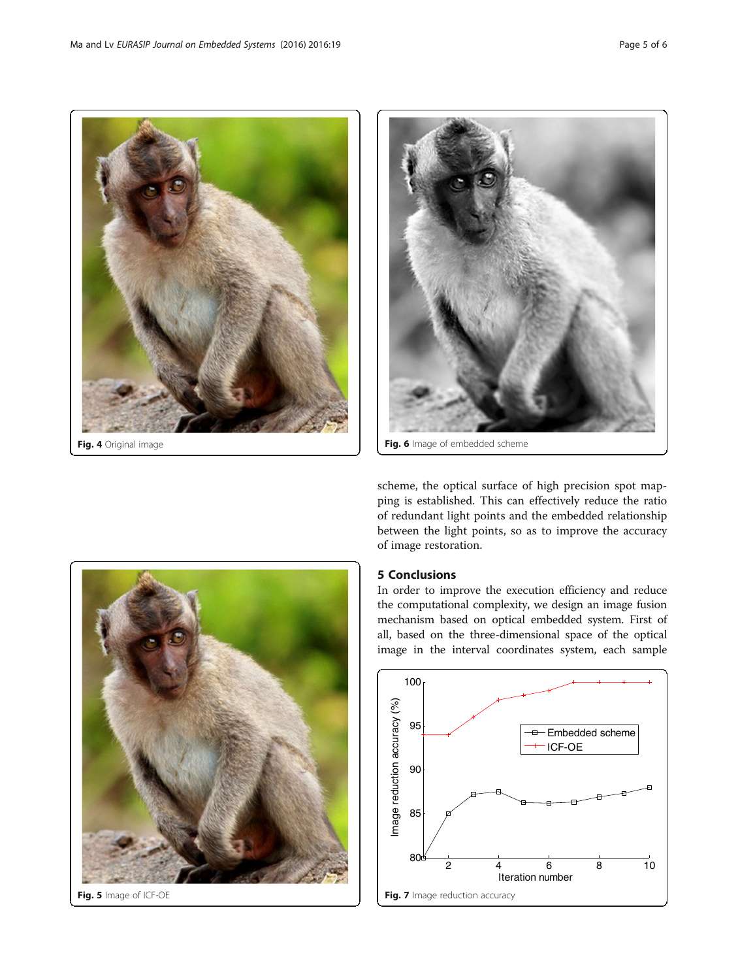<span id="page-4-0"></span>



Fig. 5 Image of ICF-OE

scheme, the optical surface of high precision spot mapping is established. This can effectively reduce the ratio of redundant light points and the embedded relationship between the light points, so as to improve the accuracy of image restoration.

## 5 Conclusions

In order to improve the execution efficiency and reduce the computational complexity, we design an image fusion mechanism based on optical embedded system. First of all, based on the three-dimensional space of the optical image in the interval coordinates system, each sample